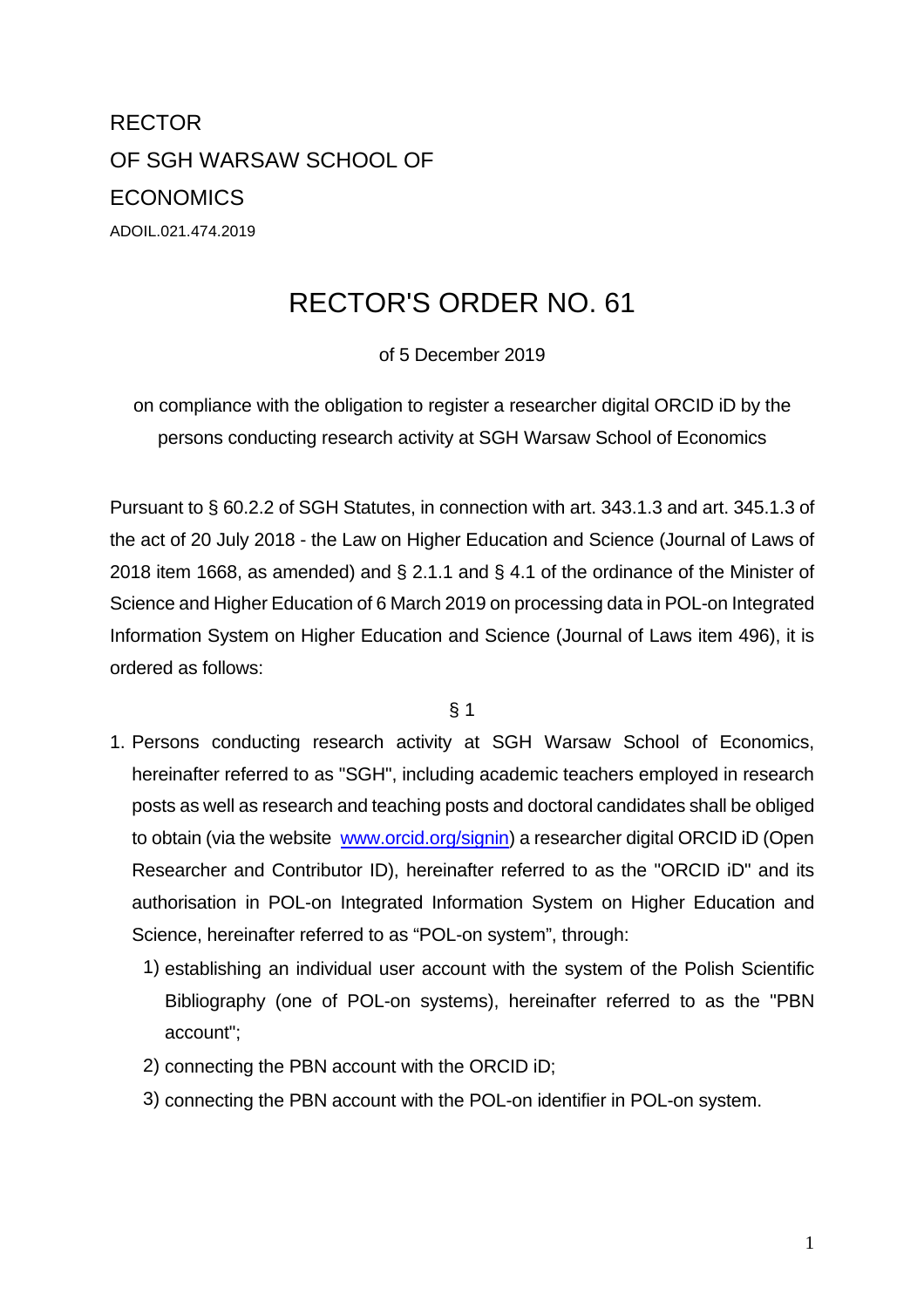RECTOR OF SGH WARSAW SCHOOL OF **ECONOMICS** ADOIL.021.474.2019

## RECTOR'S ORDER NO. 61

of 5 December 2019

on compliance with the obligation to register a researcher digital ORCID iD by the persons conducting research activity at SGH Warsaw School of Economics

Pursuant to § 60.2.2 of SGH Statutes, in connection with art. 343.1.3 and art. 345.1.3 of the act of 20 July 2018 - the Law on Higher Education and Science (Journal of Laws of 2018 item 1668, as amended) and § 2.1.1 and § 4.1 of the ordinance of the Minister of Science and Higher Education of 6 March 2019 on processing data in POL-on Integrated Information System on Higher Education and Science (Journal of Laws item 496), it is ordered as follows:

 $§$  1

- 1. Persons conducting research activity at SGH Warsaw School of Economics, hereinafter referred to as "SGH", including academic teachers employed in research posts as well as research and teaching posts and doctoral candidates shall be obliged to obtain (via the website www.orcid.org/signin) a researcher digital ORCID iD (Open Researcher and Contributor ID), hereinafter referred to as the "ORCID iD" and its authorisation in POL-on Integrated Information System on Higher Education and Science, hereinafter referred to as "POL-on system", through:
	- 1) establishing an individual user account with the system of the Polish Scientific Bibliography (one of POL-on systems), hereinafter referred to as the "PBN account";
	- 2) connecting the PBN account with the ORCID iD;
	- 3) connecting the PBN account with the POL-on identifier in POL-on system.